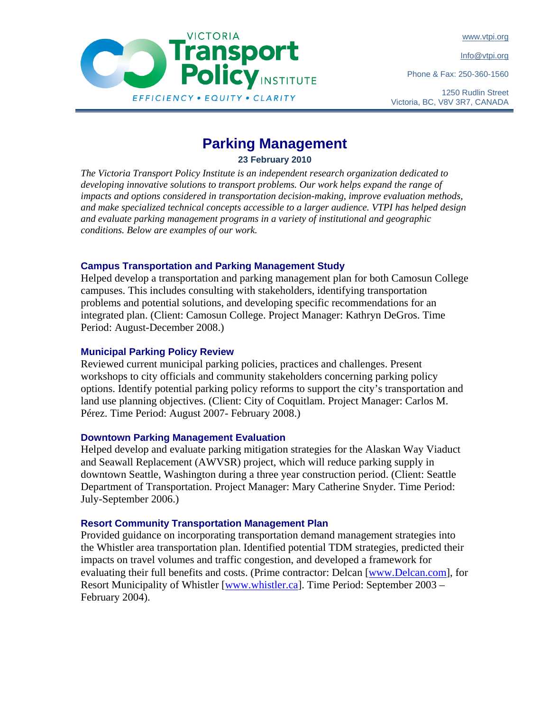www.vtpi.org

Info@vtpi.org

Phone & Fax: 250-360-1560





# **Parking Management**

**23 February 2010** 

*The Victoria Transport Policy Institute is an independent research organization dedicated to developing innovative solutions to transport problems. Our work helps expand the range of impacts and options considered in transportation decision-making, improve evaluation methods, and make specialized technical concepts accessible to a larger audience. VTPI has helped design and evaluate parking management programs in a variety of institutional and geographic conditions. Below are examples of our work.* 

# **Campus Transportation and Parking Management Study**

Helped develop a transportation and parking management plan for both Camosun College campuses. This includes consulting with stakeholders, identifying transportation problems and potential solutions, and developing specific recommendations for an integrated plan. (Client: Camosun College. Project Manager: Kathryn DeGros. Time Period: August-December 2008.)

#### **Municipal Parking Policy Review**

Reviewed current municipal parking policies, practices and challenges. Present workshops to city officials and community stakeholders concerning parking policy options. Identify potential parking policy reforms to support the city's transportation and land use planning objectives. (Client: City of Coquitlam. Project Manager: Carlos M. Pérez. Time Period: August 2007- February 2008.)

#### **Downtown Parking Management Evaluation**

Helped develop and evaluate parking mitigation strategies for the Alaskan Way Viaduct and Seawall Replacement (AWVSR) project, which will reduce parking supply in downtown Seattle, Washington during a three year construction period. (Client: Seattle Department of Transportation. Project Manager: Mary Catherine Snyder. Time Period: July-September 2006.)

# **Resort Community Transportation Management Plan**

Provided guidance on incorporating transportation demand management strategies into the Whistler area transportation plan. Identified potential TDM strategies, predicted their impacts on travel volumes and traffic congestion, and developed a framework for evaluating their full benefits and costs. (Prime contractor: Delcan [www.Delcan.com], for Resort Municipality of Whistler [www.whistler.ca]. Time Period: September 2003 – February 2004).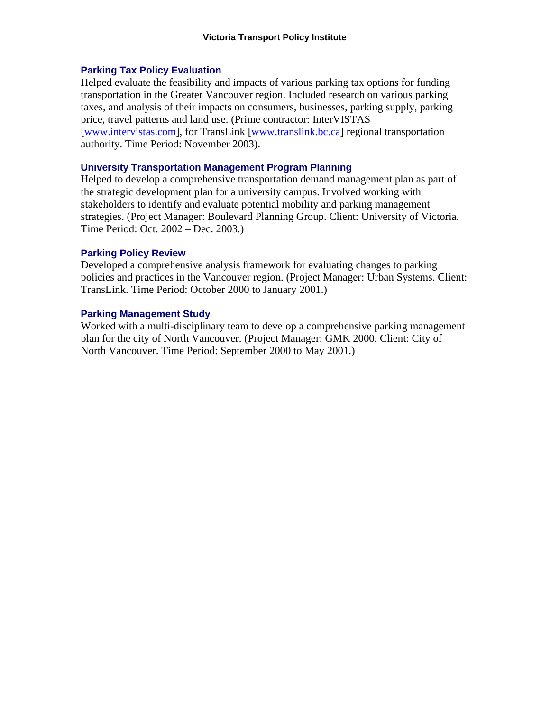### **Parking Tax Policy Evaluation**

Helped evaluate the feasibility and impacts of various parking tax options for funding transportation in the Greater Vancouver region. Included research on various parking taxes, and analysis of their impacts on consumers, businesses, parking supply, parking price, travel patterns and land use. (Prime contractor: InterVISTAS [www.intervistas.com], for TransLink [www.translink.bc.ca] regional transportation authority. Time Period: November 2003).

### **University Transportation Management Program Planning**

Helped to develop a comprehensive transportation demand management plan as part of the strategic development plan for a university campus. Involved working with stakeholders to identify and evaluate potential mobility and parking management strategies. (Project Manager: Boulevard Planning Group. Client: University of Victoria. Time Period: Oct. 2002 – Dec. 2003.)

#### **Parking Policy Review**

Developed a comprehensive analysis framework for evaluating changes to parking policies and practices in the Vancouver region. (Project Manager: Urban Systems. Client: TransLink. Time Period: October 2000 to January 2001.)

### **Parking Management Study**

Worked with a multi-disciplinary team to develop a comprehensive parking management plan for the city of North Vancouver. (Project Manager: GMK 2000. Client: City of North Vancouver. Time Period: September 2000 to May 2001.)